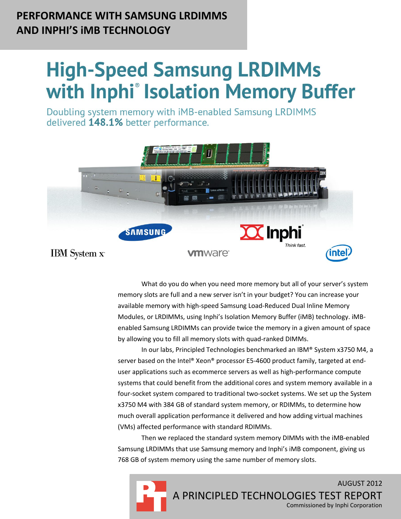# **PERFORMANCE WITH SAMSUNG LRDIMMS AND INPHI'S iMB TECHNOLOGY**

# **High-Speed Samsung LRDIMMs** with Inphi<sup>®</sup> Isolation Memory Buffer

Doubling system memory with iMB-enabled Samsung LRDIMMS delivered 148.1% better performance.



What do you do when you need more memory but all of your server's system memory slots are full and a new server isn't in your budget? You can increase your available memory with high-speed Samsung Load-Reduced Dual Inline Memory Modules, or LRDIMMs, using Inphi's Isolation Memory Buffer (iMB) technology. iMBenabled Samsung LRDIMMs can provide twice the memory in a given amount of space by allowing you to fill all memory slots with quad-ranked DIMMs.

In our labs, Principled Technologies benchmarked an IBM® System x3750 M4, a server based on the Intel® Xeon® processor E5-4600 product family, targeted at enduser applications such as ecommerce servers as well as high-performance compute systems that could benefit from the additional cores and system memory available in a four-socket system compared to traditional two-socket systems. We set up the System x3750 M4 with 384 GB of standard system memory, or RDIMMs, to determine how much overall application performance it delivered and how adding virtual machines (VMs) affected performance with standard RDIMMs.

Then we replaced the standard system memory DIMMs with the iMB-enabled Samsung LRDIMMs that use Samsung memory and Inphi's iMB component, giving us 768 GB of system memory using the same number of memory slots.

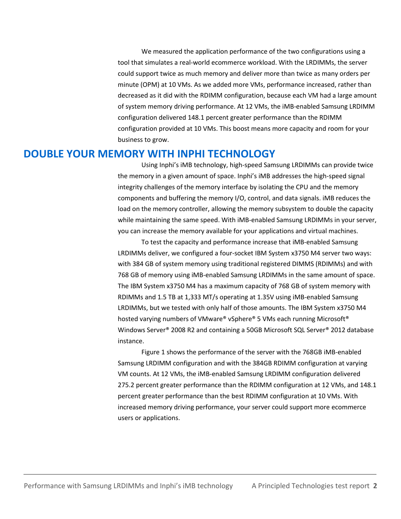We measured the application performance of the two configurations using a tool that simulates a real-world ecommerce workload. With the LRDIMMs, the server could support twice as much memory and deliver more than twice as many orders per minute (OPM) at 10 VMs. As we added more VMs, performance increased, rather than decreased as it did with the RDIMM configuration, because each VM had a large amount of system memory driving performance. At 12 VMs, the iMB-enabled Samsung LRDIMM configuration delivered 148.1 percent greater performance than the RDIMM configuration provided at 10 VMs. This boost means more capacity and room for your business to grow.

## **DOUBLE YOUR MEMORY WITH INPHI TECHNOLOGY**

Using Inphi's iMB technology, high-speed Samsung LRDIMMs can provide twice the memory in a given amount of space. Inphi's iMB addresses the high-speed signal integrity challenges of the memory interface by isolating the CPU and the memory components and buffering the memory I/O, control, and data signals. iMB reduces the load on the memory controller, allowing the memory subsystem to double the capacity while maintaining the same speed. With iMB-enabled Samsung LRDIMMs in your server, you can increase the memory available for your applications and virtual machines.

To test the capacity and performance increase that iMB-enabled Samsung LRDIMMs deliver, we configured a four-socket IBM System x3750 M4 server two ways: with 384 GB of system memory using traditional registered DIMMS (RDIMMs) and with 768 GB of memory using iMB-enabled Samsung LRDIMMs in the same amount of space. The IBM System x3750 M4 has a maximum capacity of 768 GB of system memory with RDIMMs and 1.5 TB at 1,333 MT/s operating at 1.35V using iMB-enabled Samsung LRDIMMs, but we tested with only half of those amounts. The IBM System x3750 M4 hosted varying numbers of VMware® vSphere® 5 VMs each running Microsoft® Windows Server® 2008 R2 and containing a 50GB Microsoft SQL Server® 2012 database instance.

Figure 1 shows the performance of the server with the 768GB iMB-enabled Samsung LRDIMM configuration and with the 384GB RDIMM configuration at varying VM counts. At 12 VMs, the iMB-enabled Samsung LRDIMM configuration delivered 275.2 percent greater performance than the RDIMM configuration at 12 VMs, and 148.1 percent greater performance than the best RDIMM configuration at 10 VMs. With increased memory driving performance, your server could support more ecommerce users or applications.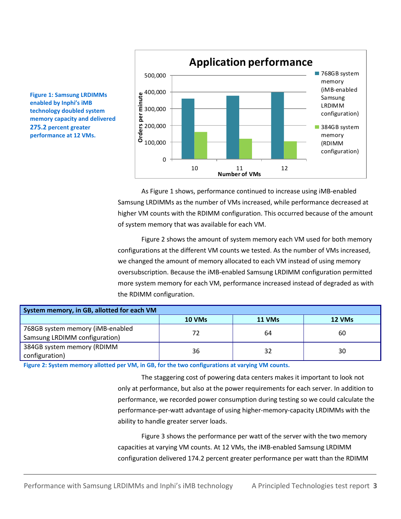



As Figure 1 shows, performance continued to increase using iMB-enabled Samsung LRDIMMs as the number of VMs increased, while performance decreased at higher VM counts with the RDIMM configuration. This occurred because of the amount of system memory that was available for each VM.

Figure 2 shows the amount of system memory each VM used for both memory configurations at the different VM counts we tested. As the number of VMs increased, we changed the amount of memory allocated to each VM instead of using memory oversubscription. Because the iMB-enabled Samsung LRDIMM configuration permitted more system memory for each VM, performance increased instead of degraded as with the RDIMM configuration.

| System memory, in GB, allotted for each VM |               |        |        |  |
|--------------------------------------------|---------------|--------|--------|--|
|                                            | <b>10 VMs</b> | 11 VMs | 12 VMs |  |
| 768GB system memory (iMB-enabled           | 72            | 64     | 60     |  |
| Samsung LRDIMM configuration)              |               |        |        |  |
| 384GB system memory (RDIMM                 |               |        | 30     |  |
| configuration)                             | 36            |        |        |  |

**Figure 2: System memory allotted per VM, in GB, for the two configurations at varying VM counts.**

The staggering cost of powering data centers makes it important to look not only at performance, but also at the power requirements for each server. In addition to performance, we recorded power consumption during testing so we could calculate the performance-per-watt advantage of using higher-memory-capacity LRDIMMs with the ability to handle greater server loads.

Figure 3 shows the performance per watt of the server with the two memory capacities at varying VM counts. At 12 VMs, the iMB-enabled Samsung LRDIMM configuration delivered 174.2 percent greater performance per watt than the RDIMM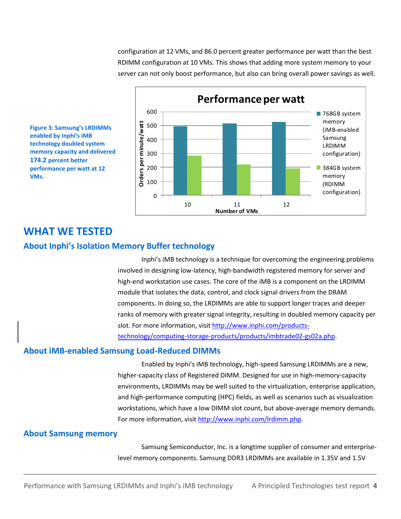configuration at 12 VMs, and 86.0 percent greater performance per watt than the best RDIMM configuration at 10 VMs. This shows that adding more system memory to your server can not only boost performance, but also can bring overall power savings as well.





# **WHAT WE TESTED**

## **About Inphi's Isolation Memory Buffer technology**

Inphi's iMB technology is a technique for overcoming the engineering problems involved in designing low-latency, high-bandwidth registered memory for server and high-end workstation use cases. The core of the iMB is a component on the LRDIMM module that isolates the data, control, and clock signal drivers from the DRAM components. In doing so, the LRDIMMs are able to support longer traces and deeper ranks of memory with greater signal integrity, resulting in doubled memory capacity per slot. For more information, visit [http://www.inphi.com/products](http://www.inphi.com/products-technology/computing-storage-products/products/imbtrade02-gs02a.php)[technology/computing-storage-products/products/imbtrade02-gs02a.php.](http://www.inphi.com/products-technology/computing-storage-products/products/imbtrade02-gs02a.php)

## **About iMB-enabled Samsung Load-Reduced DIMMs**

Enabled by Inphi's iMB technology, high-speed Samsung LRDIMMs are a new, higher-capacity class of Registered DIMM. Designed for use in high-memory-capacity environments, LRDIMMs may be well suited to the virtualization, enterprise application, and high-performance computing (HPC) fields, as well as scenarios such as visualization workstations, which have a low DIMM slot count, but above-average memory demands. For more information, visi[t http://www.inphi.com/lrdimm.php.](http://www.inphi.com/lrdimm.php)

#### **About Samsung memory**

Samsung Semiconductor, Inc. is a longtime supplier of consumer and enterpriselevel memory components. Samsung DDR3 LRDIMMs are available in 1.35V and 1.5V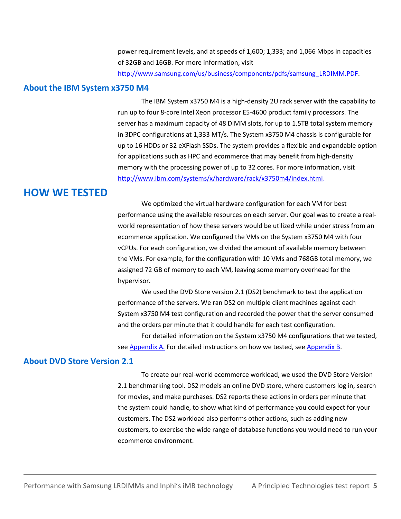power requirement levels, and at speeds of 1,600; 1,333; and 1,066 Mbps in capacities of 32GB and 16GB. For more information, visit [http://www.samsung.com/us/business/components/pdfs/samsung\\_LRDIMM.PDF.](http://www.samsung.com/us/business/components/pdfs/samsung_LRDIMM.PDF)

#### **About the IBM System x3750 M4**

The IBM System x3750 M4 is a high-density 2U rack server with the capability to run up to four 8-core Intel Xeon processor E5-4600 product family processors. The server has a maximum capacity of 48 DIMM slots, for up to 1.5TB total system memory in 3DPC configurations at 1,333 MT/s. The System x3750 M4 chassis is configurable for up to 16 HDDs or 32 eXFlash SSDs. The system provides a flexible and expandable option for applications such as HPC and ecommerce that may benefit from high-density memory with the processing power of up to 32 cores. For more information, visit [http://www.ibm.com/systems/x/hardware/rack/x3750m4/index.html.](http://www.ibm.com/systems/x/hardware/rack/x3750m4/index.html)

# **HOW WE TESTED**

We optimized the virtual hardware configuration for each VM for best performance using the available resources on each server. Our goal was to create a realworld representation of how these servers would be utilized while under stress from an ecommerce application. We configured the VMs on the System x3750 M4 with four vCPUs. For each configuration, we divided the amount of available memory between the VMs. For example, for the configuration with 10 VMs and 768GB total memory, we assigned 72 GB of memory to each VM, leaving some memory overhead for the hypervisor.

We used the DVD Store version 2.1 (DS2) benchmark to test the application performance of the servers. We ran DS2 on multiple client machines against each System x3750 M4 test configuration and recorded the power that the server consumed and the orders per minute that it could handle for each test configuration.

For detailed information on the System x3750 M4 configurations that we tested, se[e Appendix A.](#page-7-0) For detailed instructions on how we tested, se[e Appendix B.](#page-9-0)

#### **About DVD Store Version 2.1**

To create our real-world ecommerce workload, we used the DVD Store Version 2.1 benchmarking tool. DS2 models an online DVD store, where customers log in, search for movies, and make purchases. DS2 reports these actions in orders per minute that the system could handle, to show what kind of performance you could expect for your customers. The DS2 workload also performs other actions, such as adding new customers, to exercise the wide range of database functions you would need to run your ecommerce environment.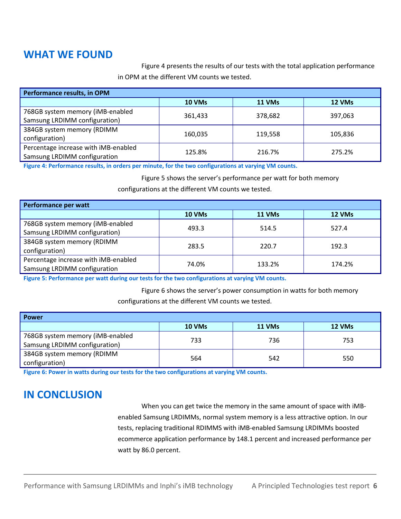# **WHAT WE FOUND**

Figure 4 presents the results of our tests with the total application performance in OPM at the different VM counts we tested.

| Performance results, in OPM          |         |         |         |  |
|--------------------------------------|---------|---------|---------|--|
|                                      | 10 VMs  | 11 VMs  | 12 VMs  |  |
| 768GB system memory (iMB-enabled     |         |         |         |  |
| Samsung LRDIMM configuration)        | 361,433 | 378,682 | 397,063 |  |
| 384GB system memory (RDIMM           |         |         |         |  |
| configuration)                       | 160,035 | 119,558 | 105,836 |  |
| Percentage increase with iMB-enabled | 125.8%  | 216.7%  | 275.2%  |  |
| Samsung LRDIMM configuration         |         |         |         |  |

**Figure 4: Performance results, in orders per minute, for the two configurations at varying VM counts.**

Figure 5 shows the server's performance per watt for both memory

configurations at the different VM counts we tested.

| Performance per watt                                                 |        |        |        |  |
|----------------------------------------------------------------------|--------|--------|--------|--|
|                                                                      | 10 VMs | 11 VMs | 12 VMs |  |
| 768GB system memory (iMB-enabled<br>Samsung LRDIMM configuration)    | 493.3  | 514.5  | 527.4  |  |
| 384GB system memory (RDIMM<br>configuration)                         | 283.5  | 220.7  | 192.3  |  |
| Percentage increase with iMB-enabled<br>Samsung LRDIMM configuration | 74.0%  | 133.2% | 174.2% |  |

**Figure 5: Performance per watt during our tests for the two configurations at varying VM counts.**

Figure 6 shows the server's power consumption in watts for both memory configurations at the different VM counts we tested.

| <b>Power</b>                                                      |        |        |        |  |
|-------------------------------------------------------------------|--------|--------|--------|--|
|                                                                   | 10 VMs | 11 VMs | 12 VMs |  |
| 768GB system memory (iMB-enabled<br>Samsung LRDIMM configuration) | 733    | 736    | 753    |  |
|                                                                   |        |        |        |  |
| 384GB system memory (RDIMM                                        | 564    | 542    | 550    |  |
| configuration)                                                    |        |        |        |  |

**Figure 6: Power in watts during our tests for the two configurations at varying VM counts.**

# **IN CONCLUSION**

When you can get twice the memory in the same amount of space with iMBenabled Samsung LRDIMMs, normal system memory is a less attractive option. In our tests, replacing traditional RDIMMS with iMB-enabled Samsung LRDIMMs boosted ecommerce application performance by 148.1 percent and increased performance per watt by 86.0 percent.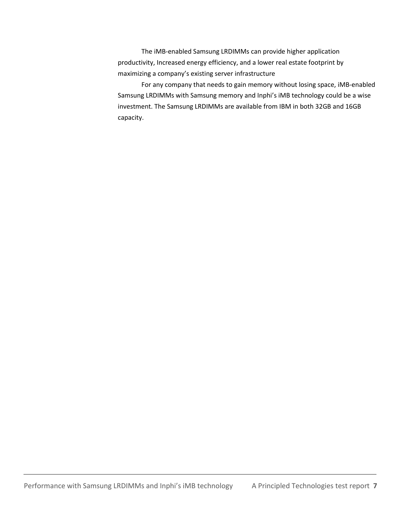The iMB-enabled Samsung LRDIMMs can provide higher application productivity, Increased energy efficiency, and a lower real estate footprint by maximizing a company's existing server infrastructure

For any company that needs to gain memory without losing space, iMB-enabled Samsung LRDIMMs with Samsung memory and Inphi's iMB technology could be a wise investment. The Samsung LRDIMMs are available from IBM in both 32GB and 16GB capacity.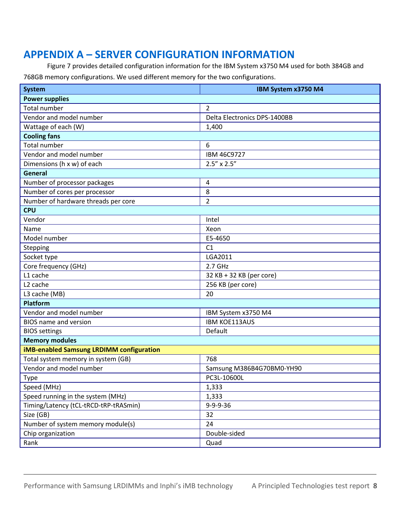# <span id="page-7-0"></span>**APPENDIX A – SERVER CONFIGURATION INFORMATION**

Figure 7 provides detailed configuration information for the IBM System x3750 M4 used for both 384GB and 768GB memory configurations. We used different memory for the two configurations.

| <b>System</b>                                   | IBM System x3750 M4          |  |
|-------------------------------------------------|------------------------------|--|
| <b>Power supplies</b>                           |                              |  |
| <b>Total number</b>                             | $\overline{2}$               |  |
| Vendor and model number                         | Delta Electronics DPS-1400BB |  |
| Wattage of each (W)                             | 1,400                        |  |
| <b>Cooling fans</b>                             |                              |  |
| <b>Total number</b>                             | 6                            |  |
| Vendor and model number                         | IBM 46C9727                  |  |
| Dimensions (h x w) of each                      | $2.5'' \times 2.5''$         |  |
| General                                         |                              |  |
| Number of processor packages                    | 4                            |  |
| Number of cores per processor                   | 8                            |  |
| Number of hardware threads per core             | $\overline{2}$               |  |
| <b>CPU</b>                                      |                              |  |
| Vendor                                          | Intel                        |  |
| Name                                            | Xeon                         |  |
| Model number                                    | E5-4650                      |  |
| Stepping                                        | C <sub>1</sub>               |  |
| Socket type                                     | LGA2011                      |  |
| Core frequency (GHz)                            | 2.7 GHz                      |  |
| L1 cache                                        | 32 KB + 32 KB (per core)     |  |
| L <sub>2</sub> cache                            | 256 KB (per core)            |  |
| L3 cache (MB)                                   | 20                           |  |
| <b>Platform</b>                                 |                              |  |
| Vendor and model number                         | IBM System x3750 M4          |  |
| <b>BIOS</b> name and version                    | <b>IBM KOE113AUS</b>         |  |
| <b>BIOS</b> settings                            | Default                      |  |
| <b>Memory modules</b>                           |                              |  |
| <b>iMB-enabled Samsung LRDIMM configuration</b> |                              |  |
| Total system memory in system (GB)              | 768                          |  |
| Vendor and model number                         | Samsung M386B4G70BM0-YH90    |  |
| Type                                            | PC3L-10600L                  |  |
| Speed (MHz)                                     | 1,333                        |  |
| Speed running in the system (MHz)               | 1,333                        |  |
| Timing/Latency (tCL-tRCD-tRP-tRASmin)           | $9 - 9 - 9 - 36$             |  |
| Size (GB)                                       | 32                           |  |
| Number of system memory module(s)               | 24                           |  |
| Chip organization                               | Double-sided                 |  |
| Rank                                            | Quad                         |  |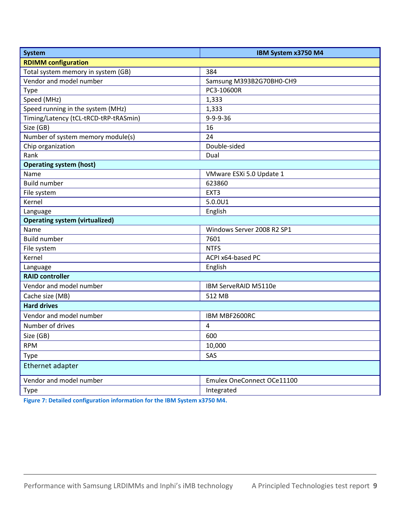| <b>System</b>                         | IBM System x3750 M4        |  |
|---------------------------------------|----------------------------|--|
| <b>RDIMM</b> configuration            |                            |  |
| Total system memory in system (GB)    | 384                        |  |
| Vendor and model number               | Samsung M393B2G70BH0-CH9   |  |
| <b>Type</b>                           | PC3-10600R                 |  |
| Speed (MHz)                           | 1,333                      |  |
| Speed running in the system (MHz)     | 1,333                      |  |
| Timing/Latency (tCL-tRCD-tRP-tRASmin) | 9-9-9-36                   |  |
| Size (GB)                             | 16                         |  |
| Number of system memory module(s)     | 24                         |  |
| Chip organization                     | Double-sided               |  |
| Rank                                  | Dual                       |  |
| <b>Operating system (host)</b>        |                            |  |
| Name                                  | VMware ESXi 5.0 Update 1   |  |
| <b>Build number</b>                   | 623860                     |  |
| File system                           | EXT3                       |  |
| Kernel                                | 5.0.0U1                    |  |
| Language                              | English                    |  |
| <b>Operating system (virtualized)</b> |                            |  |
| Name                                  | Windows Server 2008 R2 SP1 |  |
| <b>Build number</b>                   | 7601                       |  |
| File system                           | <b>NTFS</b>                |  |
| Kernel                                | ACPI x64-based PC          |  |
| Language                              | English                    |  |
| <b>RAID controller</b>                |                            |  |
| Vendor and model number               | IBM ServeRAID M5110e       |  |
| Cache size (MB)                       | 512 MB                     |  |
| <b>Hard drives</b>                    |                            |  |
| Vendor and model number               | IBM MBF2600RC              |  |
| Number of drives                      | 4                          |  |
| Size (GB)                             | 600                        |  |
| <b>RPM</b>                            | 10,000                     |  |
| <b>Type</b>                           | SAS                        |  |
| Ethernet adapter                      |                            |  |
| Vendor and model number               | Emulex OneConnect OCe11100 |  |
| Type                                  | Integrated                 |  |

**Figure 7: Detailed configuration information for the IBM System x3750 M4.**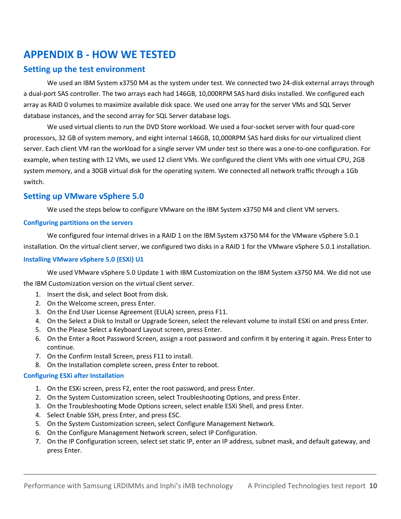# <span id="page-9-0"></span>**APPENDIX B - HOW WE TESTED**

## **Setting up the test environment**

We used an IBM System x3750 M4 as the system under test. We connected two 24-disk external arrays through a dual-port SAS controller. The two arrays each had 146GB, 10,000RPM SAS hard disks installed. We configured each array as RAID 0 volumes to maximize available disk space. We used one array for the server VMs and SQL Server database instances, and the second array for SQL Server database logs.

We used virtual clients to run the DVD Store workload. We used a four-socket server with four quad-core processors, 32 GB of system memory, and eight internal 146GB, 10,000RPM SAS hard disks for our virtualized client server. Each client VM ran the workload for a single server VM under test so there was a one-to-one configuration. For example, when testing with 12 VMs, we used 12 client VMs. We configured the client VMs with one virtual CPU, 2GB system memory, and a 30GB virtual disk for the operating system. We connected all network traffic through a 1Gb switch.

## **Setting up VMware vSphere 5.0**

We used the steps below to configure VMware on the IBM System x3750 M4 and client VM servers.

#### **Configuring partitions on the servers**

We configured four internal drives in a RAID 1 on the IBM System x3750 M4 for the VMware vSphere 5.0.1 installation. On the virtual client server, we configured two disks in a RAID 1 for the VMware vSphere 5.0.1 installation.

#### **Installing VMware vSphere 5.0 (ESXi) U1**

We used VMware vSphere 5.0 Update 1 with IBM Customization on the IBM System x3750 M4. We did not use the IBM Customization version on the virtual client server.

- 1. Insert the disk, and select Boot from disk.
- 2. On the Welcome screen, press Enter.
- 3. On the End User License Agreement (EULA) screen, press F11.
- 4. On the Select a Disk to Install or Upgrade Screen, select the relevant volume to install ESXi on and press Enter.
- 5. On the Please Select a Keyboard Layout screen, press Enter.
- 6. On the Enter a Root Password Screen, assign a root password and confirm it by entering it again. Press Enter to continue.
- 7. On the Confirm Install Screen, press F11 to install.
- 8. On the Installation complete screen, press Enter to reboot.

#### **Configuring ESXi after Installation**

- 1. On the ESXi screen, press F2, enter the root password, and press Enter.
- 2. On the System Customization screen, select Troubleshooting Options, and press Enter.
- 3. On the Troubleshooting Mode Options screen, select enable ESXi Shell, and press Enter.
- 4. Select Enable SSH, press Enter, and press ESC.
- 5. On the System Customization screen, select Configure Management Network.
- 6. On the Configure Management Network screen, select IP Configuration.
- 7. On the IP Configuration screen, select set static IP, enter an IP address, subnet mask, and default gateway, and press Enter.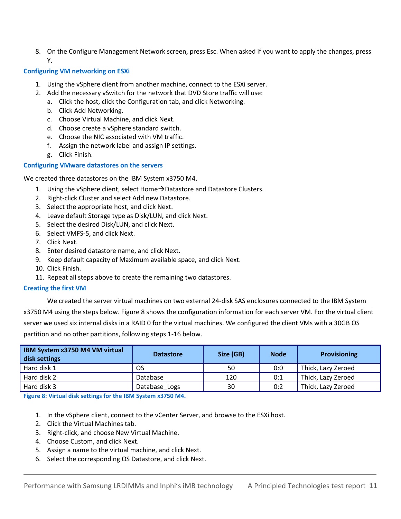8. On the Configure Management Network screen, press Esc. When asked if you want to apply the changes, press Y.

#### **Configuring VM networking on ESXi**

- 1. Using the vSphere client from another machine, connect to the ESXi server.
- 2. Add the necessary vSwitch for the network that DVD Store traffic will use:
	- a. Click the host, click the Configuration tab, and click Networking.
	- b. Click Add Networking.
	- c. Choose Virtual Machine, and click Next.
	- d. Choose create a vSphere standard switch.
	- e. Choose the NIC associated with VM traffic.
	- f. Assign the network label and assign IP settings.
	- g. Click Finish.

#### **Configuring VMware datastores on the servers**

We created three datastores on the IBM System x3750 M4.

- 1. Using the vSphere client, select Home $\rightarrow$ Datastore and Datastore Clusters.
- 2. Right-click Cluster and select Add new Datastore.
- 3. Select the appropriate host, and click Next.
- 4. Leave default Storage type as Disk/LUN, and click Next.
- 5. Select the desired Disk/LUN, and click Next.
- 6. Select VMFS-5, and click Next.
- 7. Click Next.
- 8. Enter desired datastore name, and click Next.
- 9. Keep default capacity of Maximum available space, and click Next.
- 10. Click Finish.
- 11. Repeat all steps above to create the remaining two datastores.

#### **Creating the first VM**

We created the server virtual machines on two external 24-disk SAS enclosures connected to the IBM System x3750 M4 using the steps below. Figure 8 shows the configuration information for each server VM. For the virtual client server we used six internal disks in a RAID 0 for the virtual machines. We configured the client VMs with a 30GB OS partition and no other partitions, following steps 1-16 below.

| IBM System x3750 M4 VM virtual<br>disk settings | <b>Datastore</b> | Size (GB) | <b>Node</b> | <b>Provisioning</b> |
|-------------------------------------------------|------------------|-----------|-------------|---------------------|
| Hard disk 1                                     | <b>OS</b>        | 50        | 0:0         | Thick, Lazy Zeroed  |
| Hard disk 2                                     | Database         | 120       | 0:1         | Thick, Lazy Zeroed  |
| Hard disk 3                                     | Database Logs    | 30        | 0:2         | Thick, Lazy Zeroed  |

**Figure 8: Virtual disk settings for the IBM System x3750 M4.**

- 1. In the vSphere client, connect to the vCenter Server, and browse to the ESXi host.
- 2. Click the Virtual Machines tab.
- 3. Right-click, and choose New Virtual Machine.
- 4. Choose Custom, and click Next.
- 5. Assign a name to the virtual machine, and click Next.
- 6. Select the corresponding OS Datastore, and click Next.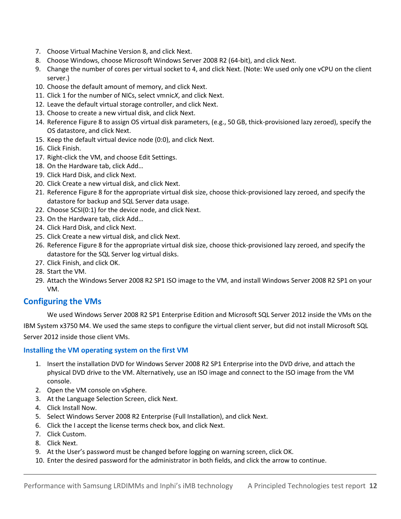- 7. Choose Virtual Machine Version 8, and click Next.
- 8. Choose Windows, choose Microsoft Windows Server 2008 R2 (64-bit), and click Next.
- 9. Change the number of cores per virtual socket to 4, and click Next. (Note: We used only one vCPU on the client server.)
- 10. Choose the default amount of memory, and click Next.
- 11. Click 1 for the number of NICs, select vmnic*X*, and click Next.
- 12. Leave the default virtual storage controller, and click Next.
- 13. Choose to create a new virtual disk, and click Next.
- 14. Reference Figure 8 to assign OS virtual disk parameters, (e.g., 50 GB, thick-provisioned lazy zeroed), specify the OS datastore, and click Next.
- 15. Keep the default virtual device node (0:0), and click Next.
- 16. Click Finish.
- 17. Right-click the VM, and choose Edit Settings.
- 18. On the Hardware tab, click Add…
- 19. Click Hard Disk, and click Next.
- 20. Click Create a new virtual disk, and click Next.
- 21. Reference Figure 8 for the appropriate virtual disk size, choose thick-provisioned lazy zeroed, and specify the datastore for backup and SQL Server data usage.
- 22. Choose SCSI(0:1) for the device node, and click Next.
- 23. On the Hardware tab, click Add…
- 24. Click Hard Disk, and click Next.
- 25. Click Create a new virtual disk, and click Next.
- 26. Reference Figure 8 for the appropriate virtual disk size, choose thick-provisioned lazy zeroed, and specify the datastore for the SQL Server log virtual disks.
- 27. Click Finish, and click OK.
- 28. Start the VM.
- 29. Attach the Windows Server 2008 R2 SP1 ISO image to the VM, and install Windows Server 2008 R2 SP1 on your VM.

## **Configuring the VMs**

We used Windows Server 2008 R2 SP1 Enterprise Edition and Microsoft SQL Server 2012 inside the VMs on the IBM System x3750 M4. We used the same steps to configure the virtual client server, but did not install Microsoft SQL Server 2012 inside those client VMs.

#### **Installing the VM operating system on the first VM**

- 1. Insert the installation DVD for Windows Server 2008 R2 SP1 Enterprise into the DVD drive, and attach the physical DVD drive to the VM. Alternatively, use an ISO image and connect to the ISO image from the VM console.
- 2. Open the VM console on vSphere.
- 3. At the Language Selection Screen, click Next.
- 4. Click Install Now.
- 5. Select Windows Server 2008 R2 Enterprise (Full Installation), and click Next.
- 6. Click the I accept the license terms check box, and click Next.
- 7. Click Custom.
- 8. Click Next.
- 9. At the User's password must be changed before logging on warning screen, click OK.
- 10. Enter the desired password for the administrator in both fields, and click the arrow to continue.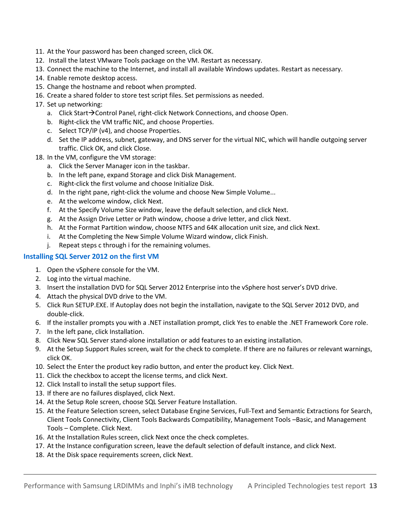- 11. At the Your password has been changed screen, click OK.
- 12. Install the latest VMware Tools package on the VM. Restart as necessary.
- 13. Connect the machine to the Internet, and install all available Windows updates. Restart as necessary.
- 14. Enable remote desktop access.
- 15. Change the hostname and reboot when prompted.
- 16. Create a shared folder to store test script files. Set permissions as needed.
- 17. Set up networking:
	- a. Click Start $\rightarrow$  Control Panel, right-click Network Connections, and choose Open.
	- b. Right-click the VM traffic NIC, and choose Properties.
	- c. Select TCP/IP (v4), and choose Properties.
	- d. Set the IP address, subnet, gateway, and DNS server for the virtual NIC, which will handle outgoing server traffic. Click OK, and click Close.
- 18. In the VM, configure the VM storage:
	- a. Click the Server Manager icon in the taskbar.
	- b. In the left pane, expand Storage and click Disk Management.
	- c. Right-click the first volume and choose Initialize Disk.
	- d. In the right pane, right-click the volume and choose New Simple Volume...
	- e. At the welcome window, click Next.
	- f. At the Specify Volume Size window, leave the default selection, and click Next.
	- g. At the Assign Drive Letter or Path window, choose a drive letter, and click Next.
	- h. At the Format Partition window, choose NTFS and 64K allocation unit size, and click Next.
	- i. At the Completing the New Simple Volume Wizard window, click Finish.
	- j. Repeat steps c through i for the remaining volumes.

#### **Installing SQL Server 2012 on the first VM**

- 1. Open the vSphere console for the VM.
- 2. Log into the virtual machine.
- 3. Insert the installation DVD for SQL Server 2012 Enterprise into the vSphere host server's DVD drive.
- 4. Attach the physical DVD drive to the VM.
- 5. Click Run SETUP.EXE. If Autoplay does not begin the installation, navigate to the SQL Server 2012 DVD, and double-click.
- 6. If the installer prompts you with a .NET installation prompt, click Yes to enable the .NET Framework Core role. 7. In the left pane, click Installation.
- 8. Click New SQL Server stand-alone installation or add features to an existing installation.
- 9. At the Setup Support Rules screen, wait for the check to complete. If there are no failures or relevant warnings, click OK.
- 10. Select the Enter the product key radio button, and enter the product key. Click Next.
- 11. Click the checkbox to accept the license terms, and click Next.
- 12. Click Install to install the setup support files.
- 13. If there are no failures displayed, click Next.
- 14. At the Setup Role screen, choose SQL Server Feature Installation.
- 15. At the Feature Selection screen, select Database Engine Services, Full-Text and Semantic Extractions for Search, Client Tools Connectivity, Client Tools Backwards Compatibility, Management Tools –Basic, and Management Tools – Complete. Click Next.
- 16. At the Installation Rules screen, click Next once the check completes.
- 17. At the Instance configuration screen, leave the default selection of default instance, and click Next.
- 18. At the Disk space requirements screen, click Next.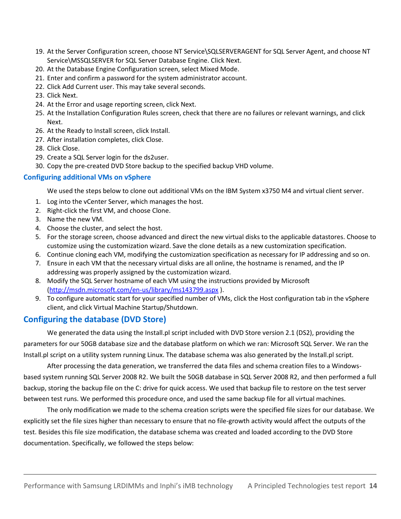- 19. At the Server Configuration screen, choose NT Service\SQLSERVERAGENT for SQL Server Agent, and choose NT Service\MSSQLSERVER for SQL Server Database Engine. Click Next.
- 20. At the Database Engine Configuration screen, select Mixed Mode.
- 21. Enter and confirm a password for the system administrator account.
- 22. Click Add Current user. This may take several seconds.
- 23. Click Next.
- 24. At the Error and usage reporting screen, click Next.
- 25. At the Installation Configuration Rules screen, check that there are no failures or relevant warnings, and click Next.
- 26. At the Ready to Install screen, click Install.
- 27. After installation completes, click Close.
- 28. Click Close.
- 29. Create a SQL Server login for the ds2user.
- 30. Copy the pre-created DVD Store backup to the specified backup VHD volume.

#### **Configuring additional VMs on vSphere**

We used the steps below to clone out additional VMs on the IBM System x3750 M4 and virtual client server.

- 1. Log into the vCenter Server, which manages the host.
- 2. Right-click the first VM, and choose Clone.
- 3. Name the new VM.
- 4. Choose the cluster, and select the host.
- 5. For the storage screen, choose advanced and direct the new virtual disks to the applicable datastores. Choose to customize using the customization wizard. Save the clone details as a new customization specification.
- 6. Continue cloning each VM, modifying the customization specification as necessary for IP addressing and so on.
- 7. Ensure in each VM that the necessary virtual disks are all online, the hostname is renamed, and the IP addressing was properly assigned by the customization wizard.
- 8. Modify the SQL Server hostname of each VM using the instructions provided by Microsoft [\(http://msdn.microsoft.com/en-us/library/ms143799.aspx](http://msdn.microsoft.com/en-us/library/ms143799.aspx) ).
- 9. To configure automatic start for your specified number of VMs, click the Host configuration tab in the vSphere client, and click Virtual Machine Startup/Shutdown.

#### **Configuring the database (DVD Store)**

We generated the data using the Install.pl script included with DVD Store version 2.1 (DS2), providing the parameters for our 50GB database size and the database platform on which we ran: Microsoft SQL Server. We ran the Install.pl script on a utility system running Linux. The database schema was also generated by the Install.pl script.

After processing the data generation, we transferred the data files and schema creation files to a Windowsbased system running SQL Server 2008 R2. We built the 50GB database in SQL Server 2008 R2, and then performed a full backup, storing the backup file on the C: drive for quick access. We used that backup file to restore on the test server between test runs. We performed this procedure once, and used the same backup file for all virtual machines.

The only modification we made to the schema creation scripts were the specified file sizes for our database. We explicitly set the file sizes higher than necessary to ensure that no file-growth activity would affect the outputs of the test. Besides this file size modification, the database schema was created and loaded according to the DVD Store documentation. Specifically, we followed the steps below: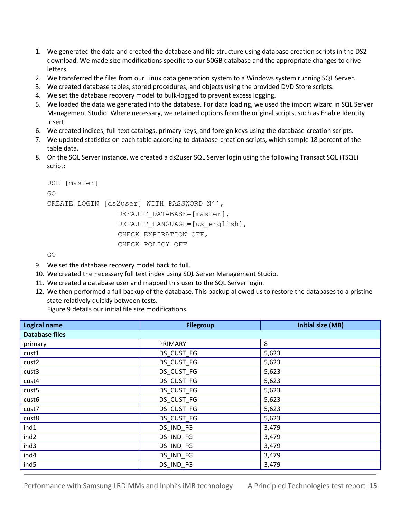- 1. We generated the data and created the database and file structure using database creation scripts in the DS2 download. We made size modifications specific to our 50GB database and the appropriate changes to drive letters.
- 2. We transferred the files from our Linux data generation system to a Windows system running SQL Server.
- 3. We created database tables, stored procedures, and objects using the provided DVD Store scripts.
- 4. We set the database recovery model to bulk-logged to prevent excess logging.
- 5. We loaded the data we generated into the database. For data loading, we used the import wizard in SQL Server Management Studio. Where necessary, we retained options from the original scripts, such as Enable Identity Insert.
- 6. We created indices, full-text catalogs, primary keys, and foreign keys using the database-creation scripts.
- 7. We updated statistics on each table according to database-creation scripts, which sample 18 percent of the table data.
- 8. On the SQL Server instance, we created a ds2user SQL Server login using the following Transact SQL (TSQL) script:

```
USE [master]
GO
CREATE LOGIN [ds2user] WITH PASSWORD=N'',
                DEFAULT_DATABASE=[master],
                DEFAULT_LANGUAGE=[us english],
                CHECK_EXPIRATION=OFF,
                CHECK_POLICY=OFF
```
GO

- 9. We set the database recovery model back to full.
- 10. We created the necessary full text index using SQL Server Management Studio.
- 11. We created a database user and mapped this user to the SQL Server login.
- 12. We then performed a full backup of the database. This backup allowed us to restore the databases to a pristine state relatively quickly between tests.

Figure 9 details our initial file size modifications.

| <b>Logical name</b>   | <b>Filegroup</b> | <b>Initial size (MB)</b> |  |  |
|-----------------------|------------------|--------------------------|--|--|
| <b>Database files</b> |                  |                          |  |  |
| primary               | PRIMARY          | 8                        |  |  |
| cust1                 | DS_CUST_FG       | 5,623                    |  |  |
| cust2                 | DS_CUST_FG       | 5,623                    |  |  |
| cust3                 | DS CUST FG       | 5,623                    |  |  |
| cust4                 | DS_CUST_FG       | 5,623                    |  |  |
| cust <sub>5</sub>     | DS_CUST_FG       | 5,623                    |  |  |
| cust <sub>6</sub>     | DS_CUST_FG       | 5,623                    |  |  |
| cust7                 | DS_CUST_FG       | 5,623                    |  |  |
| cust8                 | DS_CUST_FG       | 5,623                    |  |  |
| ind1                  | DS_IND_FG        | 3,479                    |  |  |
| ind <sub>2</sub>      | DS_IND_FG        | 3,479                    |  |  |
| ind3                  | DS_IND_FG        | 3,479                    |  |  |
| ind4                  | DS_IND_FG        | 3,479                    |  |  |
| ind <sub>5</sub>      | DS_IND_FG        | 3,479                    |  |  |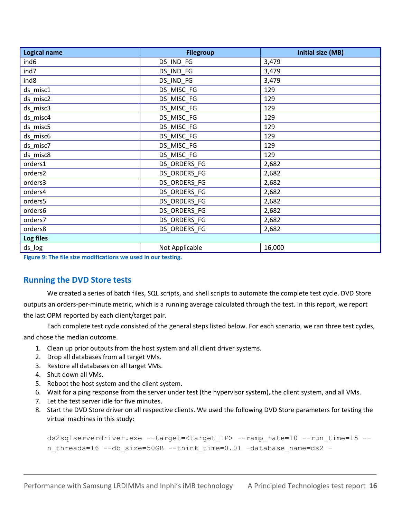| <b>Filegroup</b> | <b>Initial size (MB)</b>                                     |  |  |
|------------------|--------------------------------------------------------------|--|--|
| DS_IND_FG        | 3,479                                                        |  |  |
| DS_IND_FG        | 3,479                                                        |  |  |
| DS_IND_FG        | 3,479                                                        |  |  |
| DS_MISC_FG       | 129                                                          |  |  |
| DS_MISC_FG       | 129                                                          |  |  |
| DS_MISC_FG       | 129                                                          |  |  |
| DS_MISC_FG       | 129                                                          |  |  |
| DS_MISC_FG       | 129                                                          |  |  |
| DS MISC FG       | 129                                                          |  |  |
| DS_MISC_FG       | 129                                                          |  |  |
| DS_MISC_FG       | 129                                                          |  |  |
| DS_ORDERS_FG     | 2,682                                                        |  |  |
| DS_ORDERS_FG     | 2,682                                                        |  |  |
| DS_ORDERS_FG     | 2,682                                                        |  |  |
| DS_ORDERS_FG     | 2,682                                                        |  |  |
| DS_ORDERS_FG     | 2,682                                                        |  |  |
| DS_ORDERS_FG     | 2,682                                                        |  |  |
| DS_ORDERS_FG     | 2,682                                                        |  |  |
| DS_ORDERS_FG     | 2,682                                                        |  |  |
| Log files        |                                                              |  |  |
| Not Applicable   | 16,000                                                       |  |  |
|                  | Figure 8: The file size modifications we used in our testing |  |  |

**Figure 9: The file size modifications we used in our testing.**

## **Running the DVD Store tests**

We created a series of batch files, SQL scripts, and shell scripts to automate the complete test cycle. DVD Store outputs an orders-per-minute metric, which is a running average calculated through the test. In this report, we report the last OPM reported by each client/target pair.

Each complete test cycle consisted of the general steps listed below. For each scenario, we ran three test cycles, and chose the median outcome.

- 1. Clean up prior outputs from the host system and all client driver systems.
- 2. Drop all databases from all target VMs.
- 3. Restore all databases on all target VMs.
- 4. Shut down all VMs.
- 5. Reboot the host system and the client system.
- 6. Wait for a ping response from the server under test (the hypervisor system), the client system, and all VMs.
- 7. Let the test server idle for five minutes.
- 8. Start the DVD Store driver on all respective clients. We used the following DVD Store parameters for testing the virtual machines in this study:

```
ds2sqlserverdriver.exe --target=<target_IP> --ramp_rate=10 --run_time=15 --
n threads=16 --db size=50GB --think time=0.01 -database name=ds2 -
```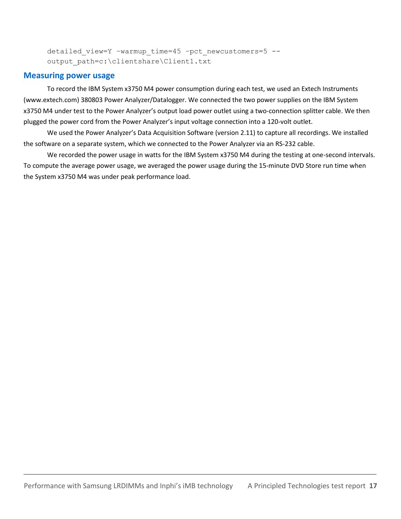detailed view=Y -warmup time=45 -pct newcustomers=5 -output path=c:\clientshare\Client1.txt

#### **Measuring power usage**

To record the IBM System x3750 M4 power consumption during each test, we used an Extech Instruments [\(www.extech.com\)](http://www.extech.com/) 380803 Power Analyzer/Datalogger. We connected the two power supplies on the IBM System x3750 M4 under test to the Power Analyzer's output load power outlet using a two-connection splitter cable. We then plugged the power cord from the Power Analyzer's input voltage connection into a 120-volt outlet.

We used the Power Analyzer's Data Acquisition Software (version 2.11) to capture all recordings. We installed the software on a separate system, which we connected to the Power Analyzer via an RS-232 cable.

We recorded the power usage in watts for the IBM System x3750 M4 during the testing at one-second intervals. To compute the average power usage, we averaged the power usage during the 15-minute DVD Store run time when the System x3750 M4 was under peak performance load.